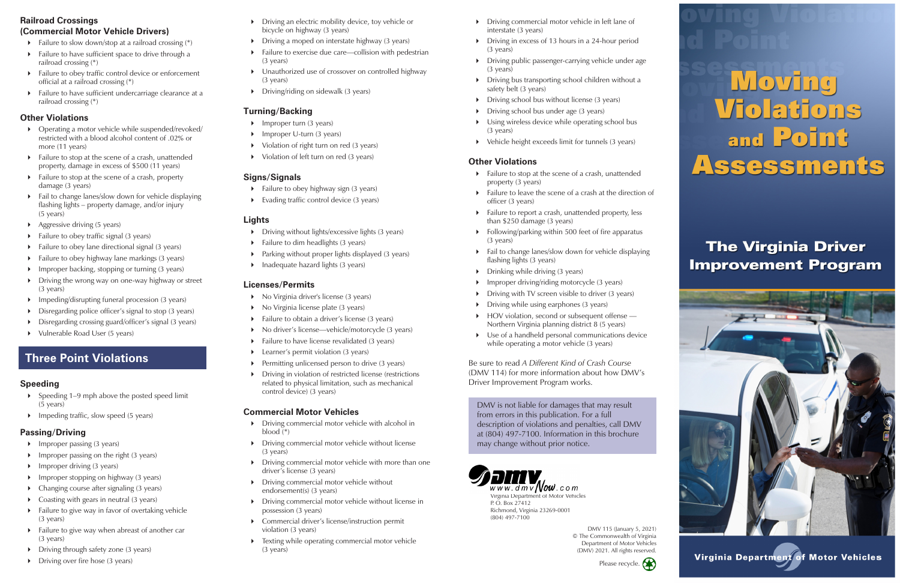#### **Railroad Crossings (Commercial Motor Vehicle Drivers)**

- $\triangleright$  Failure to slow down/stop at a railroad crossing  $(*)$
- Failure to have sufficient space to drive through a railroad crossing (\*)
- Failure to obey traffic control device or enforcement official at a railroad crossing (\*)
- Failure to have sufficient undercarriage clearance at a railroad crossing (\*)

#### **Other Violations**

- Operating a motor vehicle while suspended/revoked/ restricted with a blood alcohol content of .02% or more (11 years)
- Failure to stop at the scene of a crash, unattended property, damage in excess of \$500 (11 years)
- Failure to stop at the scene of a crash, property damage (3 years)
- Fail to change lanes/slow down for vehicle displaying flashing lights – property damage, and/or injury (5 years)
- Aggressive driving (5 years)
- $\triangleright$  Failure to obey traffic signal (3 years)
- $\triangleright$  Failure to obey lane directional signal (3 years)
- $\triangleright$  Failure to obey highway lane markings (3 years)
- $\triangleright$  Improper backing, stopping or turning (3 years)
- Driving the wrong way on one-way highway or street (3 years)
- $\triangleright$  Impeding/disrupting funeral procession (3 years)
- Disregarding police officer's signal to stop (3 years)
- Disregarding crossing guard/officer's signal (3 years)
- Vulnerable Road User (5 years)
- Driving an electric mobility device, toy vehicle or bicycle on highway (3 years)
- $\triangleright$  Driving a moped on interstate highway (3 years)
- Failure to exercise due care—collision with pedestrian (3 years)
- Unauthorized use of crossover on controlled highway (3 years)
- $\triangleright$  Driving/riding on sidewalk (3 years)

- $\triangleright$  Failure to obey highway sign (3 years)
- Evading traffic control device (3 years)

- Driving without lights/excessive lights (3 years)
- $\triangleright$  Failure to dim headlights (3 years)
- Parking without proper lights displayed (3 years)
- $\triangleright$  Inadequate hazard lights (3 years)

#### **Speeding**

- $\triangleright$  Speeding 1–9 mph above the posted speed limit (5 years)
- $\triangleright$  Impeding traffic, slow speed (5 years)

#### **Passing/Driving**

- $\blacktriangleright$  Improper passing (3 years)
- $\triangleright$  Improper passing on the right (3 years)
- $\triangleright$  Improper driving (3 years)
- **IMPROPEREY** Improper stopping on highway (3 years)
- $\triangleright$  Changing course after signaling (3 years)
- ▶ Coasting with gears in neutral (3 years)
- $\triangleright$  Failure to give way in favor of overtaking vehicle (3 years)
- $\triangleright$  Failure to give way when abreast of another car (3 years)
- Driving through safety zone (3 years)
- $\triangleright$  Driving over fire hose (3 years)
- ▶ No Virginia driver's license (3 years)
- $\triangleright$  No Virginia license plate (3 years)
- Failure to obtain a driver's license (3 years)
- ▶ No driver's license—vehicle/motorcycle (3 years)
- $\triangleright$  Failure to have license revalidated (3 years)
- **Learner's permit violation (3 years)**
- Permitting unlicensed person to drive (3 years)
- Driving in violation of restricted license (restrictions related to physical limitation, such as mechanical control device) (3 years)
- **Driving commercial motor vehicle in left lane of** interstate (3 years)
- Driving in excess of 13 hours in a 24-hour period (3 years)
- Driving public passenger-carrying vehicle under age (3 years)
- Driving bus transporting school children without a safety belt (3 years)
- Driving school bus without license (3 years)
- $\triangleright$  Driving school bus under age (3 years)
- Using wireless device while operating school bus (3 years)
- Vehicle height exceeds limit for tunnels (3 years)

#### **Turning/Backing**

- $\blacktriangleright$  Improper turn (3 years)
- $\triangleright$  Improper U-turn (3 years)
- Violation of right turn on red (3 years)
- ▶ Violation of left turn on red (3 years)

#### **Signs/Signals**

#### **Lights**

#### **Licenses/Permits**

#### **Commercial Motor Vehicles**

- Driving commercial motor vehicle with alcohol in blood (\*)
- Driving commercial motor vehicle without license (3 years)
- Driving commercial motor vehicle with more than one driver's license (3 years)
- Driving commercial motor vehicle without endorsement(s) (3 years)
- Driving commercial motor vehicle without license in possession (3 years)
- Commercial driver's license/instruction permit violation (3 years)
- **Texting while operating commercial motor vehicle** (3 years)

#### **Other Violations**

- Failure to stop at the scene of a crash, unattended property (3 years)
- Failure to leave the scene of a crash at the direction of officer (3 years)
- Failure to report a crash, unattended property, less than \$250 damage (3 years)
- $\triangleright$  Following/parking within 500 feet of fire apparatus (3 years)
- Fail to change lanes/slow down for vehicle displaying flashing lights (3 years)
- $\triangleright$  Drinking while driving (3 years)
- Improper driving/riding motorcycle (3 years)
- $\triangleright$  Driving with TV screen visible to driver (3 years)
- Driving while using earphones (3 years)
- HOV violation, second or subsequent offense -Northern Virginia planning district 8 (5 years)
- Use of a handheld personal communications device while operating a motor vehicle (3 years)

DMV 115 (January 5, 2021) © The Commonwealth of Virginia Department of Motor Vehicles (DMV) 2021. All rights reserved.



P. O. Box 27412 Richmond, Virginia 23269-0001 (804) 497-7100

DMV is not liable for damages that may result from errors in this publication. For a full description of violations and penalties, call DMV at (804) 497-7100. Information in this brochure may change without prior notice.

Be sure to read *A Different Kind of Crash Course*  (DMV 114) for more information about how DMV's Driver Improvement Program works.

## **Three Point Violations**



# **Moving<br>Violations** and **Point** Assessments

# **The Virginia Driver Improvement Program**



Virginia Department of Motor Vehicles